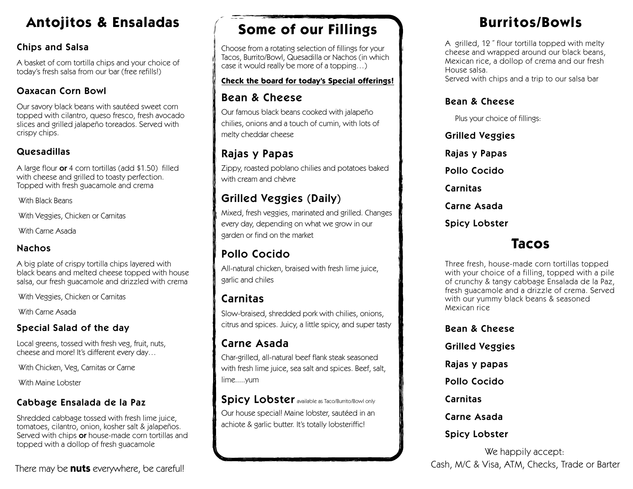## **Antojitos & Ensaladas**

#### Chips and Salsa

A basket of corn tortilla chips and your choice of today's fresh salsa from our bar (free refills!)

#### Oaxacan Corn Bowl

Our savory black beans with sautéed sweet corn topped with cilantro, queso fresco, fresh avocado slices and grilled jalapeño toreados. Served with crispy chips.

#### Quesadillas

A large flour or 4 corn tortillas (add \$1.50) filled with cheese and grilled to toasty perfection. Topped with fresh guacamole and crema

With Black Beans

With Veggies, Chicken or Carnitas

With Carne Asada

#### Nachos

A big plate of crispy tortilla chips layered with black beans and melted cheese topped with house salsa, our fresh guacamole and drizzled with crema

With Veggies, Chicken or Carnitas

With Carne Asada

#### Special Salad of the day

Local greens, tossed with fresh veg, fruit, nuts, cheese and more! It's different every day…

With Chicken, Veg, Carnitas or Carne

With Maine Lobster

#### Cabbage Ensalada de la Paz

Shredded cabbage tossed with fresh lime juice, tomatoes, cilantro, onion, kosher salt & jalapeños. Served with chips or house-made corn tortillas and topped with a dollop of fresh guacamole

## **Some of our Fillings**

Choose from a rotating selection of fillings for your Tacos, Burrito/Bowl, Quesadilla or Nachos (in which case it would really be more of a topping…)

#### **Check the board for today's Special offerings!**

### Bean & Cheese

Our famous black beans cooked with jalapeño chilies, onions and a touch of cumin, with lots of melty cheddar cheese

## Rajas y Papas

Zippy, roasted poblano chilies and potatoes baked with cream and chèvre

## Grilled Veggies (Daily)

Mixed, fresh veggies, marinated and grilled. Changes every day, depending on what we grow in our garden or find on the market

## Pollo Cocido

All-natural chicken, braised with fresh lime juice, garlic and chiles

## Carnitas

Slow-braised, shredded pork with chilies, onions, citrus and spices. Juicy, a little spicy, and super tasty

## Carne Asada

Char-grilled, all-natural beef flank steak seasoned with fresh lime juice, sea salt and spices. Beef, salt, lime.....yum

Spicy Lobster available as Taco/Burrito/Bowl only Our house special! Maine lobster, sautéed in an achiote & garlic butter. It's totally lobsteriffic!

## **Burritos/Bowls**

A grilled, 12 ˝ flour tortilla topped with melty cheese and wrapped around our black beans, Mexican rice, a dollop of crema and our fresh House salsa.

Served with chips and a trip to our salsa bar

#### Bean & Cheese

Plus your choice of fillings:

Grilled Veggies Rajas y Papas Pollo Cocido Carnitas Carne Asada Spicy Lobster

## **Tacos**

Three fresh, house-made corn tortillas topped with your choice of a filling, topped with a pile of crunchy & tangy cabbage Ensalada de la Paz, fresh guacamole and a drizzle of crema. Served with our yummy black beans & seasoned Mexican rice

Bean & Cheese Grilled Veggies Rajas y papas Pollo Cocido Carnitas Carne Asada Spicy Lobster

We happily accept: Cash, M/C & Visa, ATM, Checks, Trade or Barter